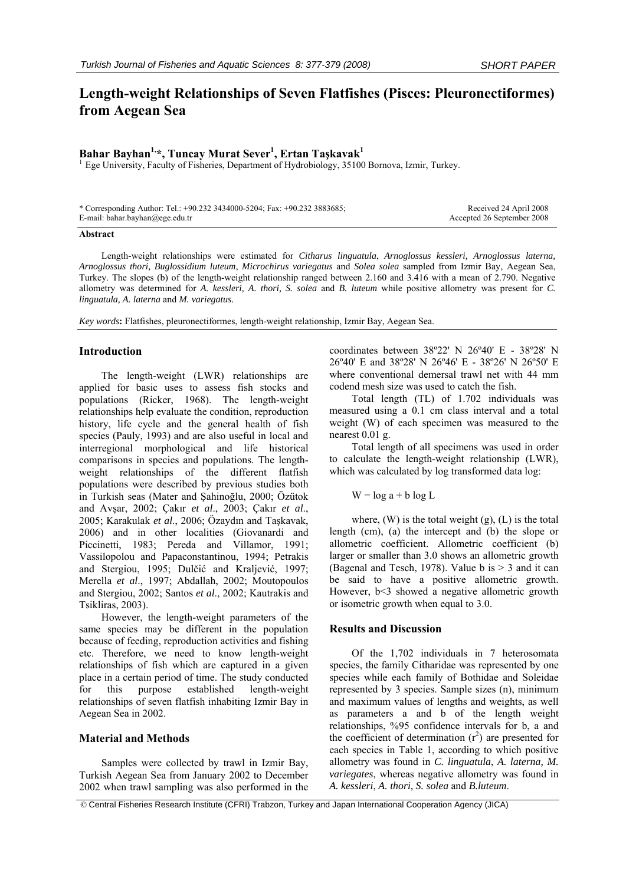# **Length-weight Relationships of Seven Flatfishes (Pisces: Pleuronectiformes) from Aegean Sea**

## **Bahar Bayhan1,\*, Tuncay Murat Sever1 , Ertan Taşkavak1**

<sup>1</sup> Ege University, Faculty of Fisheries, Department of Hydrobiology, 35100 Bornova, Izmir, Turkey.

| * Corresponding Author: Tel.: +90.232 3434000-5204; Fax: +90.232 3883685; | Received 24 April 2008     |
|---------------------------------------------------------------------------|----------------------------|
| E-mail: bahar.bayhan@ege.edu.tr                                           | Accepted 26 September 2008 |

#### **Abstract**

Length-weight relationships were estimated for *Citharus linguatula*, *Arnoglossus kessleri, Arnoglossus laterna, Arnoglossus thori, Buglossidium luteum*, *Microchirus variegatus* and *Solea solea* sampled from Izmir Bay, Aegean Sea, Turkey. The slopes (b) of the length-weight relationship ranged between 2.160 and 3.416 with a mean of 2.790. Negative allometry was determined for *A. kessleri, A. thori, S. solea* and *B. luteum* while positive allometry was present for *C. linguatula, A. laterna* and *M. variegatus.*

*Key words***:** Flatfishes, pleuronectiformes, length-weight relationship, Izmir Bay, Aegean Sea.

### **Introduction**

The length-weight (LWR) relationships are applied for basic uses to assess fish stocks and populations (Ricker, 1968). The length-weight relationships help evaluate the condition, reproduction history, life cycle and the general health of fish species (Pauly, 1993) and are also useful in local and interregional morphological and life historical comparisons in species and populations. The lengthweight relationships of the different flatfish populations were described by previous studies both in Turkish seas (Mater and Şahinoğlu, 2000; Özütok and Avşar, 2002; Çakır *et al*., 2003; Çakır *et al*., 2005; Karakulak *et al*., 2006; Özaydın and Taşkavak, 2006) and in other localities (Giovanardi and Piccinetti, 1983; Pereda and Villamor, 1991; Vassilopolou and Papaconstantinou, 1994; Petrakis and Stergiou, 1995; Dulčić and Kraljević, 1997; Merella *et al*., 1997; Abdallah, 2002; Moutopoulos and Stergiou, 2002; Santos *et al*., 2002; Kautrakis and Tsikliras, 2003).

However, the length-weight parameters of the same species may be different in the population because of feeding, reproduction activities and fishing etc. Therefore, we need to know length-weight relationships of fish which are captured in a given place in a certain period of time. The study conducted for this purpose established length-weight relationships of seven flatfish inhabiting Izmir Bay in Aegean Sea in 2002.

#### **Material and Methods**

Samples were collected by trawl in Izmir Bay, Turkish Aegean Sea from January 2002 to December 2002 when trawl sampling was also performed in the coordinates between 38º22' N 26º40' E - 38º28' N 26º40' E and 38º28' N 26º46' E - 38º26' N 26º50' E where conventional demersal trawl net with 44 mm codend mesh size was used to catch the fish.

Total length (TL) of 1.702 individuals was measured using a 0.1 cm class interval and a total weight (W) of each specimen was measured to the nearest 0.01 g.

Total length of all specimens was used in order to calculate the length-weight relationship (LWR), which was calculated by log transformed data log:

#### $W = log a + b log L$

where,  $(W)$  is the total weight  $(g)$ ,  $(L)$  is the total length (cm), (a) the intercept and (b) the slope or allometric coefficient. Allometric coefficient (b) larger or smaller than 3.0 shows an allometric growth (Bagenal and Tesch, 1978). Value b is  $> 3$  and it can be said to have a positive allometric growth. However, b<3 showed a negative allometric growth or isometric growth when equal to 3.0.

### **Results and Discussion**

Of the 1,702 individuals in 7 heterosomata species, the family Citharidae was represented by one species while each family of Bothidae and Soleidae represented by 3 species. Sample sizes (n), minimum and maximum values of lengths and weights, as well as parameters a and b of the length weight relationships, %95 confidence intervals for b, a and the coefficient of determination  $(r^2)$  are presented for each species in Table 1, according to which positive allometry was found in *C. linguatula*, *A. laterna, M. variegates*, whereas negative allometry was found in *A. kessleri*, *A. thori*, *S. solea* and *B.luteum*.

© Central Fisheries Research Institute (CFRI) Trabzon, Turkey and Japan International Cooperation Agency (JICA)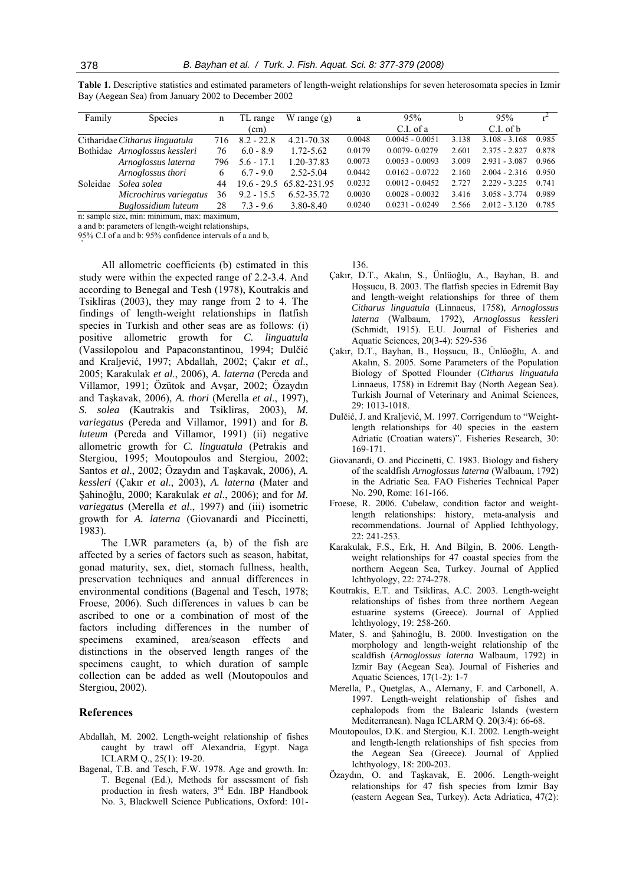| Family   | <b>Species</b>                 | n   | TL range     | W range $(g)$            | a      | 95%               | b     | 95%             |       |
|----------|--------------------------------|-----|--------------|--------------------------|--------|-------------------|-------|-----------------|-------|
|          |                                |     | (cm)         |                          |        | $C.I.$ of a       |       | $C.I.$ of $b$   |       |
|          | Citharidae Citharus linguatula | 716 | $8.2 - 22.8$ | 4.21-70.38               | 0.0048 | $0.0045 - 0.0051$ | 3.138 | $3.108 - 3.168$ | 0.985 |
|          | Bothidae Arnoglossus kessleri  | 76  | $6.0 - 8.9$  | 1.72-5.62                | 0.0179 | $0.0079 - 0.0279$ | 2.601 | $2.375 - 2.827$ | 0.878 |
|          | Arnoglossus laterna            | 796 | $5.6 - 17.1$ | 1.20-37.83               | 0.0073 | $0.0053 - 0.0093$ | 3.009 | $2.931 - 3.087$ | 0.966 |
|          | Arnoglossus thori              | 6   | $6.7 - 9.0$  | 2.52-5.04                | 0.0442 | $0.0162 - 0.0722$ | 2.160 | $2.004 - 2.316$ | 0.950 |
| Soleidae | Solea solea                    | 44  |              | 19.6 - 29.5 65.82-231.95 | 0.0232 | $0.0012 - 0.0452$ | 2.727 | $2.229 - 3.225$ | 0.741 |
|          | Microchirus variegatus         | 36  | $9.2 - 15.5$ | 6.52-35.72               | 0.0030 | $0.0028 - 0.0032$ | 3.416 | $3.058 - 3.774$ | 0.989 |
|          | Buglossidium luteum            | 28  | $7.3 - 9.6$  | 3.80-8.40                | 0.0240 | $0.0231 - 0.0249$ | 2.566 | $2.012 - 3.120$ | 0.785 |

**Table 1.** Descriptive statistics and estimated parameters of length-weight relationships for seven heterosomata species in Izmir Bay (Aegean Sea) from January 2002 to December 2002

n: sample size, min: minimum, max: maximum,

a and b: parameters of length-weight relationships,

95% C.I of a and b: 95% confidence intervals of a and b,  $\overline{ }$ 

All allometric coefficients (b) estimated in this study were within the expected range of 2.2-3.4. And according to Benegal and Tesh (1978), Koutrakis and Tsikliras (2003), they may range from 2 to 4. The findings of length-weight relationships in flatfish species in Turkish and other seas are as follows: (i) positive allometric growth for *C. linguatula* (Vassilopolou and Papaconstantinou, 1994; Dulčić and Kraljević, 1997; Abdallah, 2002; Çakır *et al*., 2005; Karakulak *et al*., 2006), *A. laterna* (Pereda and Villamor, 1991; Özütok and Avşar, 2002; Özaydın and Taşkavak, 2006), *A. thori* (Merella *et al*., 1997), *S. solea* (Kautrakis and Tsikliras, 2003), *M. variegatus* (Pereda and Villamor, 1991) and for *B. luteum* (Pereda and Villamor, 1991) (ii) negative allometric growth for *C. linguatula* (Petrakis and Stergiou, 1995; Moutopoulos and Stergiou, 2002; Santos *et al*., 2002; Özaydın and Taşkavak, 2006), *A. kessleri* (Çakır *et al*., 2003), *A. laterna* (Mater and Şahinoğlu, 2000; Karakulak *et al*., 2006); and for *M. variegatus* (Merella *et al*., 1997) and (iii) isometric growth for *A. laterna* (Giovanardi and Piccinetti, 1983).

The LWR parameters (a, b) of the fish are affected by a series of factors such as season, habitat, gonad maturity, sex, diet, stomach fullness, health, preservation techniques and annual differences in environmental conditions (Bagenal and Tesch, 1978; Froese, 2006). Such differences in values b can be ascribed to one or a combination of most of the factors including differences in the number of specimens examined, area/season effects and distinctions in the observed length ranges of the specimens caught, to which duration of sample collection can be added as well (Moutopoulos and Stergiou, 2002).

#### **References**

- Abdallah, M. 2002. Length-weight relationship of fishes caught by trawl off Alexandria, Egypt. Naga ICLARM Q., 25(1): 19-20.
- Bagenal, T.B. and Tesch, F.W. 1978. Age and growth. In: T. Begenal (Ed.), Methods for assessment of fish production in fresh waters, 3rd Edn. IBP Handbook No. 3, Blackwell Science Publications, Oxford: 101-

136.

- Çakır, D.T., Akalın, S., Ünlüoğlu, A., Bayhan, B. and Hossucu, B. 2003. The flatfish species in Edremit Bay and length-weight relationships for three of them *Citharus linguatula* (Linnaeus, 1758), *Arnoglossus laterna* (Walbaum, 1792), *Arnoglossus kessleri* (Schmidt, 1915). E.U. Journal of Fisheries and Aquatic Sciences, 20(3-4): 529-536
- Çakır, D.T., Bayhan, B., Hoşsucu, B., Ünlüoğlu, A. and Akalın, S. 2005. Some Parameters of the Population Biology of Spotted Flounder (*Citharus linguatula* Linnaeus, 1758) in Edremit Bay (North Aegean Sea). Turkish Journal of Veterinary and Animal Sciences, 29: 1013-1018.
- Dulčić, J. and Kraljević, M. 1997. Corrigendum to "Weightlength relationships for 40 species in the eastern Adriatic (Croatian waters)". Fisheries Research, 30: 169-171.
- Giovanardi, O. and Piccinetti, C. 1983. Biology and fishery of the scaldfish *Arnoglossus laterna* (Walbaum, 1792) in the Adriatic Sea. FAO Fisheries Technical Paper No. 290, Rome: 161-166.
- Froese, R. 2006. Cubelaw, condition factor and weightlength relationships: history, meta-analysis and recommendations. Journal of Applied Ichthyology, 22: 241-253.
- Karakulak, F.S., Erk, H. And Bilgin, B. 2006. Lengthweight relationships for 47 coastal species from the northern Aegean Sea, Turkey. Journal of Applied Ichthyology, 22: 274-278.
- Koutrakis, E.T. and Tsikliras, A.C. 2003. Length-weight relationships of fishes from three northern Aegean estuarine systems (Greece). Journal of Applied Ichthyology, 19: 258-260.
- Mater, S. and Şahinoğlu, B. 2000. Investigation on the morphology and length-weight relationship of the scaldfish (*Arnoglossus laterna* Walbaum, 1792) in Izmir Bay (Aegean Sea). Journal of Fisheries and Aquatic Sciences, 17(1-2): 1-7
- Merella, P., Quetglas, A., Alemany, F. and Carbonell, A. 1997. Length-weight relationship of fishes and cephalopods from the Balearic Islands (western Mediterranean). Naga ICLARM Q. 20(3/4): 66-68.
- Moutopoulos, D.K. and Stergiou, K.I. 2002. Length-weight and length-length relationships of fish species from the Aegean Sea (Greece). Journal of Applied Ichthyology, 18: 200-203.
- Özaydın, O. and Taşkavak, E. 2006. Length-weight relationships for 47 fish species from Izmir Bay (eastern Aegean Sea, Turkey). Acta Adriatica, 47(2):